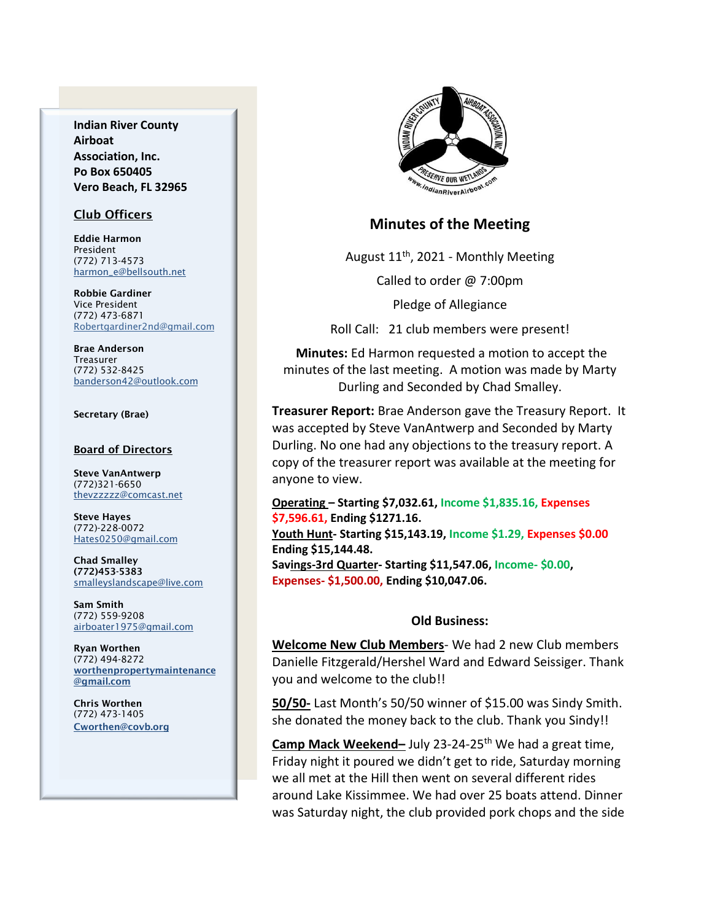**Indian River County Airboat Association, Inc. Po Box 650405 Vero Beach, FL 32965**

### Club Officers

Eddie Harmon President (772) 713-4573 [harmon\\_e@bellsouth.net](mailto:dougflood772@aol.com)

Robbie Gardiner Vice President (772) 473-6871 [Robertgardiner2nd@gmail.com](mailto:Robertgardiner2nd@gmail.com)

Brae Anderson Treasurer (772) 532-8425 [banderson42@outlook.com](mailto:banderson42@outlook.com)

#### Secretary (Brae)

#### Board of Directors

Steve VanAntwerp (772)321-6650 [thevzzzzz@comcast.net](mailto:shufamil@peoplepc.com)

Steve Hayes (772)-228-0072 Hates0250@gmail.com

Chad Smalley (772)453-5383 smalleyslandscape@live.com

Sam Smith (772) 559-9208 [airboater1975@gmail.com](mailto:Airboater22@gmail.com)

Ryan Worthen (772) 494-8272 worthenpropertymaintenance @gmail.com

Chris Worthen (772) 473-1405 Cworthen@covb.org



## **Minutes of the Meeting**

August 11th, 2021 - Monthly Meeting

Called to order @ 7:00pm

Pledge of Allegiance

Roll Call: 21 club members were present!

**Minutes:** Ed Harmon requested a motion to accept the minutes of the last meeting. A motion was made by Marty Durling and Seconded by Chad Smalley.

**Treasurer Report:** Brae Anderson gave the Treasury Report. It was accepted by Steve VanAntwerp and Seconded by Marty Durling. No one had any objections to the treasury report. A copy of the treasurer report was available at the meeting for anyone to view.

**Operating – Starting \$7,032.61, Income \$1,835.16, Expenses \$7,596.61, Ending \$1271.16.**

**Youth Hunt- Starting \$15,143.19, Income \$1.29, Expenses \$0.00 Ending \$15,144.48.**

**Savings-3rd Quarter- Starting \$11,547.06, Income- \$0.00, Expenses- \$1,500.00, Ending \$10,047.06.**

#### **Old Business:**

**Welcome New Club Members**- We had 2 new Club members Danielle Fitzgerald/Hershel Ward and Edward Seissiger. Thank you and welcome to the club!!

**50/50-** Last Month's 50/50 winner of \$15.00 was Sindy Smith. she donated the money back to the club. Thank you Sindy!!

**Camp Mack Weekend-** July 23-24-25<sup>th</sup> We had a great time, Friday night it poured we didn't get to ride, Saturday morning we all met at the Hill then went on several different rides around Lake Kissimmee. We had over 25 boats attend. Dinner was Saturday night, the club provided pork chops and the side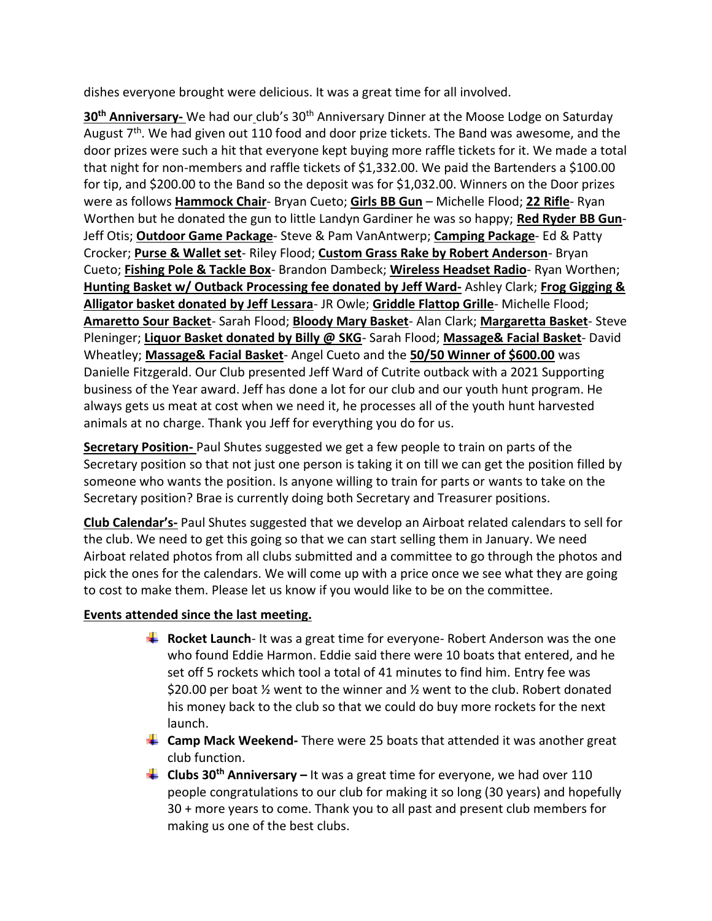dishes everyone brought were delicious. It was a great time for all involved.

30<sup>th</sup> Anniversary- We had our club's 30<sup>th</sup> Anniversary Dinner at the Moose Lodge on Saturday August  $7<sup>th</sup>$ . We had given out 110 food and door prize tickets. The Band was awesome, and the door prizes were such a hit that everyone kept buying more raffle tickets for it. We made a total that night for non-members and raffle tickets of \$1,332.00. We paid the Bartenders a \$100.00 for tip, and \$200.00 to the Band so the deposit was for \$1,032.00. Winners on the Door prizes were as follows **Hammock Chair**- Bryan Cueto; **Girls BB Gun** – Michelle Flood; **22 Rifle**- Ryan Worthen but he donated the gun to little Landyn Gardiner he was so happy; **Red Ryder BB Gun**-Jeff Otis; **Outdoor Game Package**- Steve & Pam VanAntwerp; **Camping Package**- Ed & Patty Crocker; **Purse & Wallet set**- Riley Flood; **Custom Grass Rake by Robert Anderson**- Bryan Cueto; **Fishing Pole & Tackle Box**- Brandon Dambeck; **Wireless Headset Radio**- Ryan Worthen; **Hunting Basket w/ Outback Processing fee donated by Jeff Ward-** Ashley Clark; **Frog Gigging & Alligator basket donated by Jeff Lessara**- JR Owle; **Griddle Flattop Grille**- Michelle Flood; **Amaretto Sour Backet**- Sarah Flood; **Bloody Mary Basket**- Alan Clark; **Margaretta Basket**- Steve Pleninger; **Liquor Basket donated by Billy @ SKG**- Sarah Flood; **Massage& Facial Basket**- David Wheatley; **Massage& Facial Basket**- Angel Cueto and the **50/50 Winner of \$600.00** was Danielle Fitzgerald. Our Club presented Jeff Ward of Cutrite outback with a 2021 Supporting business of the Year award. Jeff has done a lot for our club and our youth hunt program. He always gets us meat at cost when we need it, he processes all of the youth hunt harvested animals at no charge. Thank you Jeff for everything you do for us.

**Secretary Position-** Paul Shutes suggested we get a few people to train on parts of the Secretary position so that not just one person is taking it on till we can get the position filled by someone who wants the position. Is anyone willing to train for parts or wants to take on the Secretary position? Brae is currently doing both Secretary and Treasurer positions.

**Club Calendar's-** Paul Shutes suggested that we develop an Airboat related calendars to sell for the club. We need to get this going so that we can start selling them in January. We need Airboat related photos from all clubs submitted and a committee to go through the photos and pick the ones for the calendars. We will come up with a price once we see what they are going to cost to make them. Please let us know if you would like to be on the committee.

# **Events attended since the last meeting.**

- **Rocket Launch** It was a great time for everyone- Robert Anderson was the one who found Eddie Harmon. Eddie said there were 10 boats that entered, and he set off 5 rockets which tool a total of 41 minutes to find him. Entry fee was \$20.00 per boat  $\frac{1}{2}$  went to the winner and  $\frac{1}{2}$  went to the club. Robert donated his money back to the club so that we could do buy more rockets for the next launch.
- **L** Camp Mack Weekend-There were 25 boats that attended it was another great club function.
- **Clubs 30th Anniversary –** It was a great time for everyone, we had over 110 people congratulations to our club for making it so long (30 years) and hopefully 30 + more years to come. Thank you to all past and present club members for making us one of the best clubs.